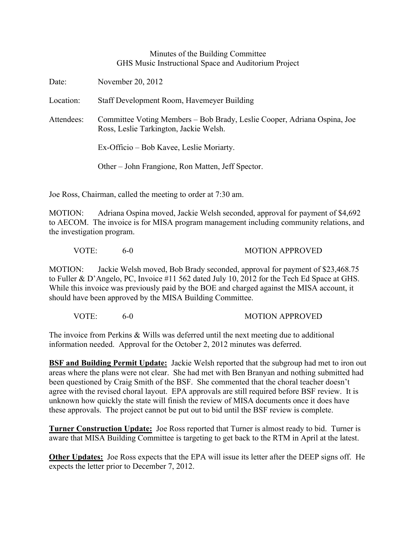## Minutes of the Building Committee GHS Music Instructional Space and Auditorium Project

Date: November 20, 2012 Location: Staff Development Room, Havemeyer Building Attendees: Committee Voting Members – Bob Brady, Leslie Cooper, Adriana Ospina, Joe Ross, Leslie Tarkington, Jackie Welsh. Ex-Officio – Bob Kavee, Leslie Moriarty. Other – John Frangione, Ron Matten, Jeff Spector.

Joe Ross, Chairman, called the meeting to order at 7:30 am.

MOTION: Adriana Ospina moved, Jackie Welsh seconded, approval for payment of \$4,692 to AECOM. The invoice is for MISA program management including community relations, and the investigation program.

VOTE: 6-0 MOTION APPROVED

MOTION: Jackie Welsh moved, Bob Brady seconded, approval for payment of \$23,468.75 to Fuller & D'Angelo, PC, Invoice #11 562 dated July 10, 2012 for the Tech Ed Space at GHS. While this invoice was previously paid by the BOE and charged against the MISA account, it should have been approved by the MISA Building Committee.

VOTE: 6-0 MOTION APPROVED

The invoice from Perkins & Wills was deferred until the next meeting due to additional information needed. Approval for the October 2, 2012 minutes was deferred.

**BSF and Building Permit Update:** Jackie Welsh reported that the subgroup had met to iron out areas where the plans were not clear. She had met with Ben Branyan and nothing submitted had been questioned by Craig Smith of the BSF. She commented that the choral teacher doesn't agree with the revised choral layout. EPA approvals are still required before BSF review. It is unknown how quickly the state will finish the review of MISA documents once it does have these approvals. The project cannot be put out to bid until the BSF review is complete.

**Turner Construction Update:** Joe Ross reported that Turner is almost ready to bid. Turner is aware that MISA Building Committee is targeting to get back to the RTM in April at the latest.

**Other Updates:** Joe Ross expects that the EPA will issue its letter after the DEEP signs off. He expects the letter prior to December 7, 2012.